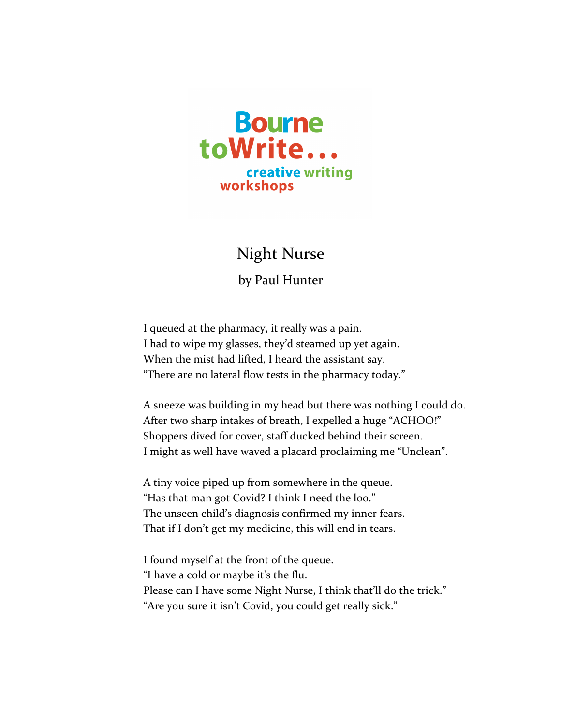

## **Night Nurse**

by Paul Hunter

I queued at the pharmacy, it really was a pain. I had to wipe my glasses, they'd steamed up yet again. When the mist had lifted, I heard the assistant say. "There are no lateral flow tests in the pharmacy today."

A sneeze was building in my head but there was nothing I could do. After two sharp intakes of breath, I expelled a huge "ACHOO!" Shoppers dived for cover, staff ducked behind their screen. I might as well have waved a placard proclaiming me "Unclean".

A tiny voice piped up from somewhere in the queue. "Has that man got Covid? I think I need the loo." The unseen child's diagnosis confirmed my inner fears. That if I don't get my medicine, this will end in tears.

I found myself at the front of the queue. "I have a cold or maybe it's the flu. Please can I have some Night Nurse, I think that'll do the trick." "Are you sure it isn't Covid, you could get really sick."